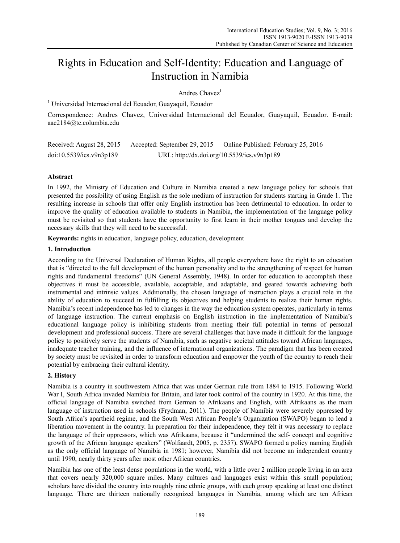# Rights in Education and Self-Identity: Education and Language of Instruction in Namibia

Andres Chavez $1$ 

<sup>1</sup> Universidad Internacional del Ecuador, Guayaquil, Ecuador

Correspondence: Andres Chavez, Universidad Internacional del Ecuador, Guayaquil, Ecuador. E-mail: aac2184@tc.columbia.edu

Received: August 28, 2015 Accepted: September 29, 2015 Online Published: February 25, 2016 doi:10.5539/ies.v9n3p189 URL: http://dx.doi.org/10.5539/ies.v9n3p189

## **Abstract**

In 1992, the Ministry of Education and Culture in Namibia created a new language policy for schools that presented the possibility of using English as the sole medium of instruction for students starting in Grade 1. The resulting increase in schools that offer only English instruction has been detrimental to education. In order to improve the quality of education available to students in Namibia, the implementation of the language policy must be revisited so that students have the opportunity to first learn in their mother tongues and develop the necessary skills that they will need to be successful.

**Keywords:** rights in education, language policy, education, development

## **1. Introduction**

According to the Universal Declaration of Human Rights, all people everywhere have the right to an education that is "directed to the full development of the human personality and to the strengthening of respect for human rights and fundamental freedoms" (UN General Assembly, 1948). In order for education to accomplish these objectives it must be accessible, available, acceptable, and adaptable, and geared towards achieving both instrumental and intrinsic values. Additionally, the chosen language of instruction plays a crucial role in the ability of education to succeed in fulfilling its objectives and helping students to realize their human rights. Namibia's recent independence has led to changes in the way the education system operates, particularly in terms of language instruction. The current emphasis on English instruction in the implementation of Namibia's educational language policy is inhibiting students from meeting their full potential in terms of personal development and professional success. There are several challenges that have made it difficult for the language policy to positively serve the students of Namibia, such as negative societal attitudes toward African languages, inadequate teacher training, and the influence of international organizations. The paradigm that has been created by society must be revisited in order to transform education and empower the youth of the country to reach their potential by embracing their cultural identity.

## **2. History**

Namibia is a country in southwestern Africa that was under German rule from 1884 to 1915. Following World War I, South Africa invaded Namibia for Britain, and later took control of the country in 1920. At this time, the official language of Namibia switched from German to Afrikaans and English, with Afrikaans as the main language of instruction used in schools (Frydman, 2011). The people of Namibia were severely oppressed by South Africa's apartheid regime, and the South West African People's Organization (SWAPO) began to lead a liberation movement in the country. In preparation for their independence, they felt it was necessary to replace the language of their oppressors, which was Afrikaans, because it "undermined the self- concept and cognitive growth of the African language speakers" (Wolfaardt, 2005, p. 2357). SWAPO formed a policy naming English as the only official language of Namibia in 1981; however, Namibia did not become an independent country until 1990, nearly thirty years after most other African countries.

Namibia has one of the least dense populations in the world, with a little over 2 million people living in an area that covers nearly 320,000 square miles. Many cultures and languages exist within this small population; scholars have divided the country into roughly nine ethnic groups, with each group speaking at least one distinct language. There are thirteen nationally recognized languages in Namibia, among which are ten African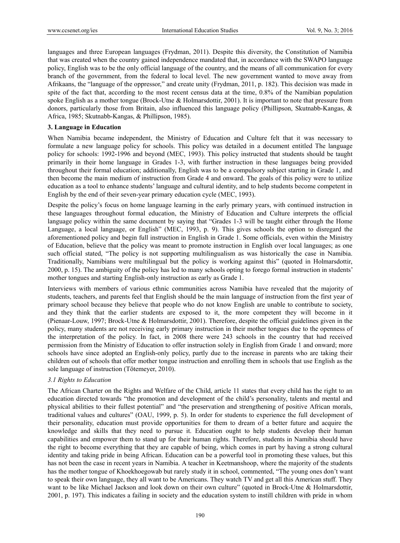languages and three European languages (Frydman, 2011). Despite this diversity, the Constitution of Namibia that was created when the country gained independence mandated that, in accordance with the SWAPO language policy, English was to be the only official language of the country, and the means of all communication for every branch of the government, from the federal to local level. The new government wanted to move away from Afrikaans, the "language of the oppressor," and create unity (Frydman, 2011, p. 182). This decision was made in spite of the fact that, according to the most recent census data at the time, 0.8% of the Namibian population spoke English as a mother tongue (Brock-Utne & Holmarsdottir, 2001). It is important to note that pressure from donors, particularly those from Britain, also influenced this language policy (Phillipson, Skutnabb-Kangas, & Africa, 1985; Skutnabb-Kangas, & Phillipson, 1985).

#### **3. Language in Education**

When Namibia became independent, the Ministry of Education and Culture felt that it was necessary to formulate a new language policy for schools. This policy was detailed in a document entitled The language policy for schools: 1992-1996 and beyond (MEC, 1993). This policy instructed that students should be taught primarily in their home language in Grades 1-3, with further instruction in these languages being provided throughout their formal education; additionally, English was to be a compulsory subject starting in Grade 1, and then become the main medium of instruction from Grade 4 and onward. The goals of this policy were to utilize education as a tool to enhance students' language and cultural identity, and to help students become competent in English by the end of their seven-year primary education cycle (MEC, 1993).

Despite the policy's focus on home language learning in the early primary years, with continued instruction in these languages throughout formal education, the Ministry of Education and Culture interprets the official language policy within the same document by saying that "Grades 1-3 will be taught either through the Home Language, a local language, or English" (MEC, 1993, p. 9). This gives schools the option to disregard the aforementioned policy and begin full instruction in English in Grade 1. Some officials, even within the Ministry of Education, believe that the policy was meant to promote instruction in English over local languages; as one such official stated, "The policy is not supporting multilingualism as was historically the case in Namibia. Traditionally, Namibians were multilingual but the policy is working against this" (quoted in Holmarsdottir, 2000, p. 15). The ambiguity of the policy has led to many schools opting to forego formal instruction in students' mother tongues and starting English-only instruction as early as Grade 1.

Interviews with members of various ethnic communities across Namibia have revealed that the majority of students, teachers, and parents feel that English should be the main language of instruction from the first year of primary school because they believe that people who do not know English are unable to contribute to society, and they think that the earlier students are exposed to it, the more competent they will become in it (Pienaar-Louw, 1997; Brock-Utne & Holmarsdottir, 2001). Therefore, despite the official guidelines given in the policy, many students are not receiving early primary instruction in their mother tongues due to the openness of the interpretation of the policy. In fact, in 2008 there were 243 schools in the country that had received permission from the Ministry of Education to offer instruction solely in English from Grade 1 and onward; more schools have since adopted an English-only policy, partly due to the increase in parents who are taking their children out of schools that offer mother tongue instruction and enrolling them in schools that use English as the sole language of instruction (Tötemeyer, 2010).

#### *3.1 Rights to Education*

The African Charter on the Rights and Welfare of the Child, article 11 states that every child has the right to an education directed towards "the promotion and development of the child's personality, talents and mental and physical abilities to their fullest potential" and "the preservation and strengthening of positive African morals, traditional values and cultures" (OAU, 1999, p. 5). In order for students to experience the full development of their personality, education must provide opportunities for them to dream of a better future and acquire the knowledge and skills that they need to pursue it. Education ought to help students develop their human capabilities and empower them to stand up for their human rights. Therefore, students in Namibia should have the right to become everything that they are capable of being, which comes in part by having a strong cultural identity and taking pride in being African. Education can be a powerful tool in promoting these values, but this has not been the case in recent years in Namibia. A teacher in Keetmanshoop, where the majority of the students has the mother tongue of Khoekhoegowab but rarely study it in school, commented, "The young ones don't want to speak their own language, they all want to be Americans. They watch TV and get all this American stuff. They want to be like Michael Jackson and look down on their own culture" (quoted in Brock-Utne & Holmarsdottir, 2001, p. 197). This indicates a failing in society and the education system to instill children with pride in whom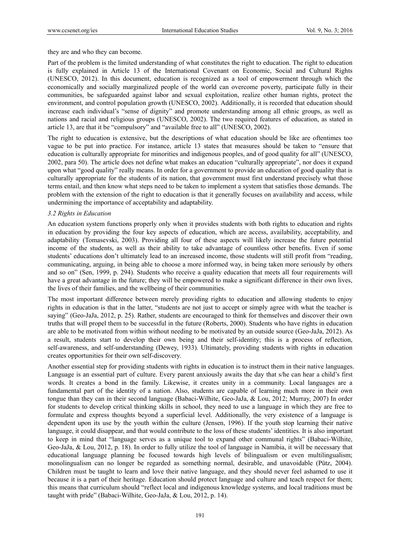they are and who they can become.

Part of the problem is the limited understanding of what constitutes the right to education. The right to education is fully explained in Article 13 of the International Covenant on Economic, Social and Cultural Rights (UNESCO, 2012). In this document, education is recognized as a tool of empowerment through which the economically and socially marginalized people of the world can overcome poverty, participate fully in their communities, be safeguarded against labor and sexual exploitation, realize other human rights, protect the environment, and control population growth (UNESCO, 2002). Additionally, it is recorded that education should increase each individual's "sense of dignity" and promote understanding among all ethnic groups, as well as nations and racial and religious groups (UNESCO, 2002). The two required features of education, as stated in article 13, are that it be "compulsory" and "available free to all" (UNESCO, 2002).

The right to education is extensive, but the descriptions of what education should be like are oftentimes too vague to be put into practice. For instance, article 13 states that measures should be taken to "ensure that education is culturally appropriate for minorities and indigenous peoples, and of good quality for all" (UNESCO, 2002, para 50). The article does not define what makes an education "culturally appropriate", nor does it expand upon what "good quality" really means. In order for a government to provide an education of good quality that is culturally appropriate for the students of its nation, that government must first understand precisely what those terms entail, and then know what steps need to be taken to implement a system that satisfies those demands. The problem with the extension of the right to education is that it generally focuses on availability and access, while undermining the importance of acceptability and adaptability.

#### *3.2 Rights in Education*

An education system functions properly only when it provides students with both rights to education and rights in education by providing the four key aspects of education, which are access, availability, acceptability, and adaptability (Tomasevski, 2003). Providing all four of these aspects will likely increase the future potential income of the students, as well as their ability to take advantage of countless other benefits. Even if some students' educations don't ultimately lead to an increased income, those students will still profit from "reading, communicating, arguing, in being able to choose a more informed way, in being taken more seriously by others and so on" (Sen, 1999, p. 294). Students who receive a quality education that meets all four requirements will have a great advantage in the future; they will be empowered to make a significant difference in their own lives, the lives of their families, and the wellbeing of their communities.

The most important difference between merely providing rights to education and allowing students to enjoy rights in education is that in the latter, "students are not just to accept or simply agree with what the teacher is saying" (Geo-JaJa, 2012, p. 25). Rather, students are encouraged to think for themselves and discover their own truths that will propel them to be successful in the future (Roberts, 2000). Students who have rights in education are able to be motivated from within without needing to be motivated by an outside source (Geo-JaJa, 2012). As a result, students start to develop their own being and their self-identity; this is a process of reflection, self-awareness, and self-understanding (Dewey, 1933). Ultimately, providing students with rights in education creates opportunities for their own self-discovery.

Another essential step for providing students with rights in education is to instruct them in their native languages. Language is an essential part of culture. Every parent anxiously awaits the day that s/he can hear a child's first words. It creates a bond in the family. Likewise, it creates unity in a community. Local languages are a fundamental part of the identity of a nation. Also, students are capable of learning much more in their own tongue than they can in their second language (Babaci-Wilhite, Geo-JaJa, & Lou, 2012; Murray, 2007) In order for students to develop critical thinking skills in school, they need to use a language in which they are free to formulate and express thoughts beyond a superficial level. Additionally, the very existence of a language is dependent upon its use by the youth within the culture (Jensen, 1996). If the youth stop learning their native language, it could disappear, and that would contribute to the loss of these students' identities. It is also important to keep in mind that "language serves as a unique tool to expand other communal rights" (Babaci-Wilhite, Geo-JaJa, & Lou, 2012, p. 18). In order to fully utilize the tool of language in Namibia, it will be necessary that educational language planning be focused towards high levels of bilingualism or even multilingualism; monolingualism can no longer be regarded as something normal, desirable, and unavoidable (Pütz, 2004). Children must be taught to learn and love their native language, and they should never feel ashamed to use it because it is a part of their heritage. Education should protect language and culture and teach respect for them; this means that curriculum should "reflect local and indigenous knowledge systems, and local traditions must be taught with pride" (Babaci-Wilhite, Geo-JaJa, & Lou, 2012, p. 14).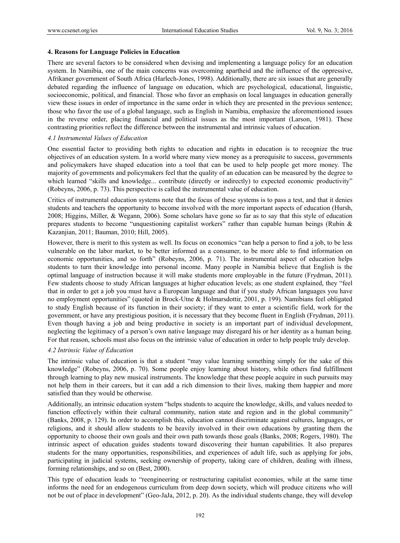#### **4. Reasons for Language Policies in Education**

There are several factors to be considered when devising and implementing a language policy for an education system. In Namibia, one of the main concerns was overcoming apartheid and the influence of the oppressive, Afrikaner government of South Africa (Harlech-Jones, 1998). Additionally, there are six issues that are generally debated regarding the influence of language on education, which are psychological, educational, linguistic, socioeconomic, political, and financial. Those who favor an emphasis on local languages in education generally view these issues in order of importance in the same order in which they are presented in the previous sentence; those who favor the use of a global language, such as English in Namibia, emphasize the aforementioned issues in the reverse order, placing financial and political issues as the most important (Larson, 1981). These contrasting priorities reflect the difference between the instrumental and intrinsic values of education.

#### *4.1 Instrumental Values of Education*

One essential factor to providing both rights to education and rights in education is to recognize the true objectives of an education system. In a world where many view money as a prerequisite to success, governments and policymakers have shaped education into a tool that can be used to help people get more money. The majority of governments and policymakers feel that the quality of an education can be measured by the degree to which learned "skills and knowledge... contribute (directly or indirectly) to expected economic productivity" (Robeyns, 2006, p. 73). This perspective is called the instrumental value of education.

Critics of instrumental education systems note that the focus of these systems is to pass a test, and that it denies students and teachers the opportunity to become involved with the more important aspects of education (Hursh, 2008; Higgins, Miller, & Wegann, 2006). Some scholars have gone so far as to say that this style of education prepares students to become "unquestioning capitalist workers" rather than capable human beings (Rubin  $\&$ Kazanjian, 2011; Bauman, 2010; Hill, 2005).

However, there is merit to this system as well. Its focus on economics "can help a person to find a job, to be less vulnerable on the labor market, to be better informed as a consumer, to be more able to find information on economic opportunities, and so forth" (Robeyns, 2006, p. 71). The instrumental aspect of education helps students to turn their knowledge into personal income. Many people in Namibia believe that English is the optimal language of instruction because it will make students more employable in the future (Frydman, 2011). Few students choose to study African languages at higher education levels; as one student explained, they "feel that in order to get a job you must have a European language and that if you study African languages you have no employment opportunities" (quoted in Brock-Utne & Holmarsdottir, 2001, p. 199). Namibians feel obligated to study English because of its function in their society; if they want to enter a scientific field, work for the government, or have any prestigious position, it is necessary that they become fluent in English (Frydman, 2011). Even though having a job and being productive in society is an important part of individual development, neglecting the legitimacy of a person's own native language may disregard his or her identity as a human being. For that reason, schools must also focus on the intrinsic value of education in order to help people truly develop.

#### *4.2 Intrinsic Value of Education*

The intrinsic value of education is that a student "may value learning something simply for the sake of this knowledge" (Robeyns, 2006, p. 70). Some people enjoy learning about history, while others find fulfillment through learning to play new musical instruments. The knowledge that these people acquire in such pursuits may not help them in their careers, but it can add a rich dimension to their lives, making them happier and more satisfied than they would be otherwise.

Additionally, an intrinsic education system "helps students to acquire the knowledge, skills, and values needed to function effectively within their cultural community, nation state and region and in the global community" (Banks, 2008, p. 129). In order to accomplish this, education cannot discriminate against cultures, languages, or religions, and it should allow students to be heavily involved in their own educations by granting them the opportunity to choose their own goals and their own path towards those goals (Banks, 2008; Rogers, 1980). The intrinsic aspect of education guides students toward discovering their human capabilities. It also prepares students for the many opportunities, responsibilities, and experiences of adult life, such as applying for jobs, participating in judicial systems, seeking ownership of property, taking care of children, dealing with illness, forming relationships, and so on (Best, 2000).

This type of education leads to "reengineering or restructuring capitalist economies, while at the same time informs the need for an endogenous curriculum from deep down society, which will produce citizens who will not be out of place in development" (Geo-JaJa, 2012, p. 20). As the individual students change, they will develop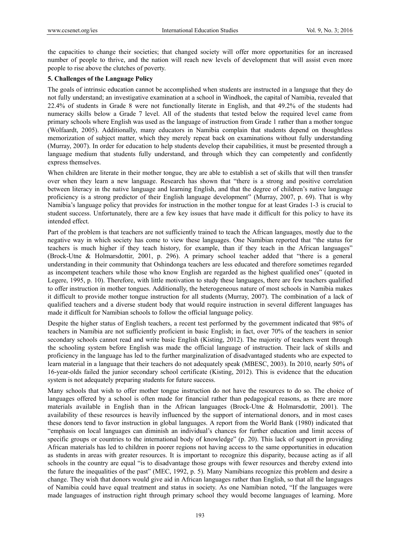the capacities to change their societies; that changed society will offer more opportunities for an increased number of people to thrive, and the nation will reach new levels of development that will assist even more people to rise above the clutches of poverty.

## **5. Challenges of the Language Policy**

The goals of intrinsic education cannot be accomplished when students are instructed in a language that they do not fully understand; an investigative examination at a school in Windhoek, the capital of Namibia, revealed that 22.4% of students in Grade 8 were not functionally literate in English, and that 49.2% of the students had numeracy skills below a Grade 7 level. All of the students that tested below the required level came from primary schools where English was used as the language of instruction from Grade 1 rather than a mother tongue (Wolfaardt, 2005). Additionally, many educators in Namibia complain that students depend on thoughtless memorization of subject matter, which they merely repeat back on examinations without fully understanding (Murray, 2007). In order for education to help students develop their capabilities, it must be presented through a language medium that students fully understand, and through which they can competently and confidently express themselves.

When children are literate in their mother tongue, they are able to establish a set of skills that will then transfer over when they learn a new language. Research has shown that "there is a strong and positive correlation between literacy in the native language and learning English, and that the degree of children's native language proficiency is a strong predictor of their English language development" (Murray, 2007, p. 69). That is why Namibia's language policy that provides for instruction in the mother tongue for at least Grades 1-3 is crucial to student success. Unfortunately, there are a few key issues that have made it difficult for this policy to have its intended effect.

Part of the problem is that teachers are not sufficiently trained to teach the African languages, mostly due to the negative way in which society has come to view these languages. One Namibian reported that "the status for teachers is much higher if they teach history, for example, than if they teach in the African languages" (Brock-Utne & Holmarsdottir, 2001, p. 296). A primary school teacher added that "there is a general understanding in their community that Oshindonga teachers are less educated and therefore sometimes regarded as incompetent teachers while those who know English are regarded as the highest qualified ones" (quoted in Legere, 1995, p. 10). Therefore, with little motivation to study these languages, there are few teachers qualified to offer instruction in mother tongues. Additionally, the heterogeneous nature of most schools in Namibia makes it difficult to provide mother tongue instruction for all students (Murray, 2007). The combination of a lack of qualified teachers and a diverse student body that would require instruction in several different languages has made it difficult for Namibian schools to follow the official language policy.

Despite the higher status of English teachers, a recent test performed by the government indicated that 98% of teachers in Namibia are not sufficiently proficient in basic English; in fact, over 70% of the teachers in senior secondary schools cannot read and write basic English (Kisting, 2012). The majority of teachers went through the schooling system before English was made the official language of instruction. Their lack of skills and proficiency in the language has led to the further marginalization of disadvantaged students who are expected to learn material in a language that their teachers do not adequately speak (MBESC, 2003). In 2010, nearly 50% of 16-year-olds failed the junior secondary school certificate (Kisting, 2012). This is evidence that the education system is not adequately preparing students for future success.

Many schools that wish to offer mother tongue instruction do not have the resources to do so. The choice of languages offered by a school is often made for financial rather than pedagogical reasons, as there are more materials available in English than in the African languages (Brock-Utne & Holmarsdottir, 2001). The availability of these resources is heavily influenced by the support of international donors, and in most cases these donors tend to favor instruction in global languages. A report from the World Bank (1980) indicated that "emphasis on local languages can diminish an individual's chances for further education and limit access of specific groups or countries to the international body of knowledge" (p. 20). This lack of support in providing African materials has led to children in poorer regions not having access to the same opportunities in education as students in areas with greater resources. It is important to recognize this disparity, because acting as if all schools in the country are equal "is to disadvantage those groups with fewer resources and thereby extend into the future the inequalities of the past" (MEC, 1992, p. 5). Many Namibians recognize this problem and desire a change. They wish that donors would give aid in African languages rather than English, so that all the languages of Namibia could have equal treatment and status in society. As one Namibian noted, "If the languages were made languages of instruction right through primary school they would become languages of learning. More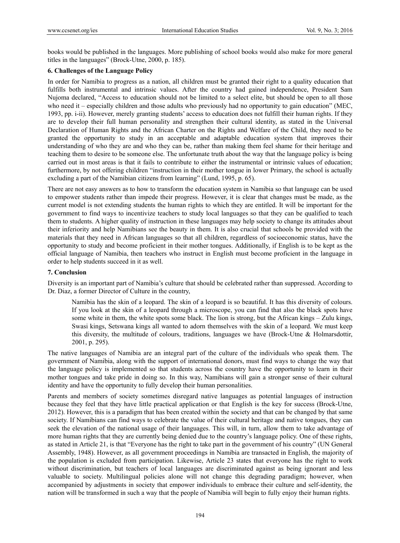books would be published in the languages. More publishing of school books would also make for more general titles in the languages" (Brock-Utne, 2000, p. 185).

### **6. Challenges of the Language Policy**

In order for Namibia to progress as a nation, all children must be granted their right to a quality education that fulfills both instrumental and intrinsic values. After the country had gained independence, President Sam Nujoma declared, "Access to education should not be limited to a select elite, but should be open to all those who need it – especially children and those adults who previously had no opportunity to gain education" (MEC, 1993, pp. i-ii). However, merely granting students' access to education does not fulfill their human rights. If they are to develop their full human personality and strengthen their cultural identity, as stated in the Universal Declaration of Human Rights and the African Charter on the Rights and Welfare of the Child, they need to be granted the opportunity to study in an acceptable and adaptable education system that improves their understanding of who they are and who they can be, rather than making them feel shame for their heritage and teaching them to desire to be someone else. The unfortunate truth about the way that the language policy is being carried out in most areas is that it fails to contribute to either the instrumental or intrinsic values of education; furthermore, by not offering children "instruction in their mother tongue in lower Primary, the school is actually excluding a part of the Namibian citizens from learning" (Lund, 1995, p. 65).

There are not easy answers as to how to transform the education system in Namibia so that language can be used to empower students rather than impede their progress. However, it is clear that changes must be made, as the current model is not extending students the human rights to which they are entitled. It will be important for the government to find ways to incentivize teachers to study local languages so that they can be qualified to teach them to students. A higher quality of instruction in these languages may help society to change its attitudes about their inferiority and help Namibians see the beauty in them. It is also crucial that schools be provided with the materials that they need in African languages so that all children, regardless of socioeconomic status, have the opportunity to study and become proficient in their mother tongues. Additionally, if English is to be kept as the official language of Namibia, then teachers who instruct in English must become proficient in the language in order to help students succeed in it as well.

#### **7. Conclusion**

Diversity is an important part of Namibia's culture that should be celebrated rather than suppressed. According to Dr. Diaz, a former Director of Culture in the country,

Namibia has the skin of a leopard. The skin of a leopard is so beautiful. It has this diversity of colours. If you look at the skin of a leopard through a microscope, you can find that also the black spots have some white in them, the white spots some black. The lion is strong, but the African kings – Zulu kings, Swasi kings, Setswana kings all wanted to adorn themselves with the skin of a leopard. We must keep this diversity, the multitude of colours, traditions, languages we have (Brock-Utne & Holmarsdottir, 2001, p. 295).

The native languages of Namibia are an integral part of the culture of the individuals who speak them. The government of Namibia, along with the support of international donors, must find ways to change the way that the language policy is implemented so that students across the country have the opportunity to learn in their mother tongues and take pride in doing so. In this way, Namibians will gain a stronger sense of their cultural identity and have the opportunity to fully develop their human personalities.

Parents and members of society sometimes disregard native languages as potential languages of instruction because they feel that they have little practical application or that English is the key for success (Brock-Utne, 2012). However, this is a paradigm that has been created within the society and that can be changed by that same society. If Namibians can find ways to celebrate the value of their cultural heritage and native tongues, they can seek the elevation of the national usage of their languages. This will, in turn, allow them to take advantage of more human rights that they are currently being denied due to the country's language policy. One of these rights, as stated in Article 21, is that "Everyone has the right to take part in the government of his country" (UN General Assembly, 1948). However, as all government proceedings in Namibia are transacted in English, the majority of the population is excluded from participation. Likewise, Article 23 states that everyone has the right to work without discrimination, but teachers of local languages are discriminated against as being ignorant and less valuable to society. Multilingual policies alone will not change this degrading paradigm; however, when accompanied by adjustments in society that empower individuals to embrace their culture and self-identity, the nation will be transformed in such a way that the people of Namibia will begin to fully enjoy their human rights.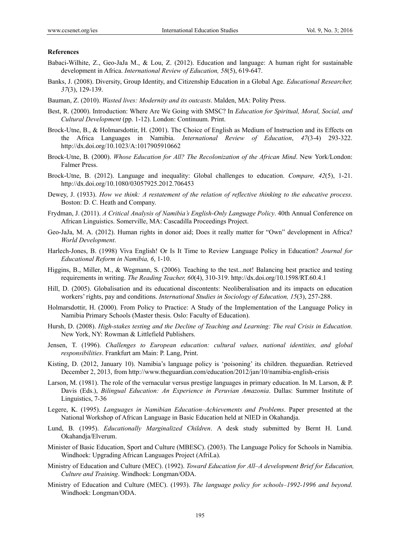#### **References**

- Babaci-Wilhite, Z., Geo-JaJa M., & Lou, Z. (2012). Education and language: A human right for sustainable development in Africa. *International Review of Education, 58*(5), 619-647.
- Banks, J. (2008). Diversity, Group Identity, and Citizenship Education in a Global Age. *Educational Researcher, 37*(3), 129-139.
- Bauman, Z. (2010). *Wasted lives: Modernity and its outcasts*. Malden, MA: Polity Press.
- Best, R. (2000). Introduction: Where Are We Going with SMSC? In *Education for Spiritual, Moral, Social, and Cultural Development* (pp. 1-12). London: Continuum. Print.
- Brock-Utne, B., & Holmarsdottir, H. (2001). The Choice of English as Medium of Instruction and its Effects on the Africa Languages in Namibia. *International Review of Education*, *47*(3-4) 293-322. http://dx.doi.org/10.1023/A:1017905910662
- Brock-Utne, B. (2000). *Whose Education for All? The Recolonization of the African Mind*. New York/London: Falmer Press.
- Brock-Utne, B. (2012). Language and inequality: Global challenges to education. *Compare, 42*(5), 1-21. http://dx.doi.org/10.1080/03057925.2012.706453
- Dewey, J. (1933). *How we think: A restatement of the relation of reflective thinking to the educative process*. Boston: D. C. Heath and Company.
- Frydman, J. (2011). *A Critical Analysis of Namibia's English-Only Language Policy*. 40th Annual Conference on African Linguistics. Somerville, MA: Cascadilla Proceedings Project.
- Geo-JaJa, M. A. (2012). Human rights in donor aid; Does it really matter for "Own" development in Africa? *World Development*.
- Harlech-Jones, B. (1998) Viva English! Or Is It Time to Review Language Policy in Education? *Journal for Educational Reform in Namibia, 6*, 1-10.
- Higgins, B., Miller, M., & Wegmann, S. (2006). Teaching to the test...not! Balancing best practice and testing requirements in writing. *The Reading Teacher, 60*(4), 310-319. http://dx.doi.org/10.1598/RT.60.4.1
- Hill, D. (2005). Globalisation and its educational discontents: Neoliberalisation and its impacts on education workers' rights, pay and conditions. *International Studies in Sociology of Education, 15*(3), 257-288.
- Holmarsdottir, H. (2000). From Policy to Practice: A Study of the Implementation of the Language Policy in Namibia Primary Schools (Master thesis. Oslo: Faculty of Education).
- Hursh, D. (2008). *High-stakes testing and the Decline of Teaching and Learning: The real Crisis in Education*. New York, NY: Rowman & Littlefield Publishers.
- Jensen, T. (1996). *Challenges to European education: cultural values, national identities, and global responsibilities*. Frankfurt am Main: P. Lang, Print.
- Kisting, D. (2012, January 10). Namibia's language policy is 'poisoning' its children. theguardian. Retrieved December 2, 2013, from http://www.theguardian.com/education/2012/jan/10/namibia-english-crisis
- Larson, M. (1981). The role of the vernacular versus prestige languages in primary education. In M. Larson, & P. Davis (Eds.), *Bilingual Education: An Experience in Peruvian Amazonia*. Dallas: Summer Institute of Linguistics, 7-36
- Legere, K. (1995). *Languages in Namibian Education–Achievements and Problems*. Paper presented at the National Workshop of African Language in Basic Education held at NIED in Okahandja.
- Lund, B. (1995). *Educationally Marginalized Children*. A desk study submitted by Bernt H. Lund. Okahandja/Elverum.
- Minister of Basic Education, Sport and Culture (MBESC). (2003). The Language Policy for Schools in Namibia. Windhoek: Upgrading African Languages Project (AfriLa).
- Ministry of Education and Culture (MEC). (1992). *Toward Education for All–A development Brief for Education, Culture and Training*. Windhoek: Longman/ODA.
- Ministry of Education and Culture (MEC). (1993). *The language policy for schools–1992-1996 and beyond*. Windhoek: Longman/ODA.